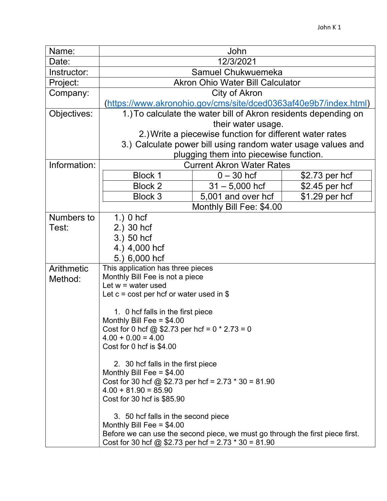|  | Name:                 |                                                                                                                                                                                                                                                                                      | John                                                                                                |                 |  |  |
|--|-----------------------|--------------------------------------------------------------------------------------------------------------------------------------------------------------------------------------------------------------------------------------------------------------------------------------|-----------------------------------------------------------------------------------------------------|-----------------|--|--|
|  | Date:                 |                                                                                                                                                                                                                                                                                      | 12/3/2021                                                                                           |                 |  |  |
|  | Instructor:           | Samuel Chukwuemeka                                                                                                                                                                                                                                                                   |                                                                                                     |                 |  |  |
|  | Project:              | <b>Akron Ohio Water Bill Calculator</b>                                                                                                                                                                                                                                              |                                                                                                     |                 |  |  |
|  | Company:              |                                                                                                                                                                                                                                                                                      |                                                                                                     |                 |  |  |
|  |                       |                                                                                                                                                                                                                                                                                      | (https://www.akronohio.gov/cms/site/dced0363af40e9b7/index.html)                                    |                 |  |  |
|  | Objectives:           | 1.) To calculate the water bill of Akron residents depending on                                                                                                                                                                                                                      |                                                                                                     |                 |  |  |
|  |                       | their water usage.                                                                                                                                                                                                                                                                   |                                                                                                     |                 |  |  |
|  |                       | 2.) Write a piecewise function for different water rates                                                                                                                                                                                                                             |                                                                                                     |                 |  |  |
|  |                       | 3.) Calculate power bill using random water usage values and                                                                                                                                                                                                                         |                                                                                                     |                 |  |  |
|  |                       | plugging them into piecewise function.                                                                                                                                                                                                                                               |                                                                                                     |                 |  |  |
|  | Information:          | <b>Current Akron Water Rates</b>                                                                                                                                                                                                                                                     |                                                                                                     |                 |  |  |
|  |                       | <b>Block 1</b>                                                                                                                                                                                                                                                                       | $0 - 30$ hcf                                                                                        | \$2.73 per hcf  |  |  |
|  |                       | <b>Block 2</b>                                                                                                                                                                                                                                                                       | $31 - 5,000$ hcf                                                                                    | $$2.45$ per hcf |  |  |
|  |                       | <b>Block 3</b>                                                                                                                                                                                                                                                                       | 5,001 and over hcf                                                                                  | $$1.29$ per hcf |  |  |
|  |                       |                                                                                                                                                                                                                                                                                      |                                                                                                     |                 |  |  |
|  | Numbers to            | $1.)$ 0 hcf                                                                                                                                                                                                                                                                          |                                                                                                     |                 |  |  |
|  | Test:                 | 2.) 30 hcf                                                                                                                                                                                                                                                                           |                                                                                                     |                 |  |  |
|  |                       | 3.) 50 hcf                                                                                                                                                                                                                                                                           |                                                                                                     |                 |  |  |
|  |                       |                                                                                                                                                                                                                                                                                      |                                                                                                     |                 |  |  |
|  |                       |                                                                                                                                                                                                                                                                                      |                                                                                                     |                 |  |  |
|  |                       |                                                                                                                                                                                                                                                                                      | This application has three pieces                                                                   |                 |  |  |
|  |                       |                                                                                                                                                                                                                                                                                      | Monthly Bill Fee is not a piece                                                                     |                 |  |  |
|  |                       |                                                                                                                                                                                                                                                                                      |                                                                                                     |                 |  |  |
|  |                       |                                                                                                                                                                                                                                                                                      |                                                                                                     |                 |  |  |
|  |                       |                                                                                                                                                                                                                                                                                      | 1. 0 hcf falls in the first piece                                                                   |                 |  |  |
|  |                       |                                                                                                                                                                                                                                                                                      |                                                                                                     |                 |  |  |
|  |                       |                                                                                                                                                                                                                                                                                      | Cost for 0 hcf @ \$2.73 per hcf = $0 * 2.73 = 0$                                                    |                 |  |  |
|  |                       |                                                                                                                                                                                                                                                                                      |                                                                                                     |                 |  |  |
|  |                       |                                                                                                                                                                                                                                                                                      |                                                                                                     |                 |  |  |
|  |                       | 2. 30 hcf falls in the first piece                                                                                                                                                                                                                                                   |                                                                                                     |                 |  |  |
|  |                       |                                                                                                                                                                                                                                                                                      |                                                                                                     |                 |  |  |
|  |                       |                                                                                                                                                                                                                                                                                      |                                                                                                     |                 |  |  |
|  |                       |                                                                                                                                                                                                                                                                                      |                                                                                                     |                 |  |  |
|  |                       |                                                                                                                                                                                                                                                                                      |                                                                                                     |                 |  |  |
|  |                       | 3. 50 hcf falls in the second piece                                                                                                                                                                                                                                                  |                                                                                                     |                 |  |  |
|  |                       | Monthly Bill Fee = $$4.00$                                                                                                                                                                                                                                                           |                                                                                                     |                 |  |  |
|  |                       | Before we can use the second piece, we must go through the first piece first.<br>Cost for 30 hcf @ \$2.73 per hcf = $2.73 * 30 = 81.90$                                                                                                                                              |                                                                                                     |                 |  |  |
|  | Arithmetic<br>Method: | 4.) 4,000 hcf<br>6,000 hcf<br>5.<br>Let $w = w$ ater used<br>Let $c = \text{cost per hcf or water used in }$<br>Monthly Bill Fee = $$4.00$<br>$4.00 + 0.00 = 4.00$<br>Cost for 0 hcf is \$4.00<br>Monthly Bill Fee = $$4.00$<br>$4.00 + 81.90 = 85.90$<br>Cost for 30 hcf is \$85.90 | City of Akron<br>Monthly Bill Fee: \$4.00<br>Cost for 30 hcf @ \$2.73 per hcf = $2.73 * 30 = 81.90$ |                 |  |  |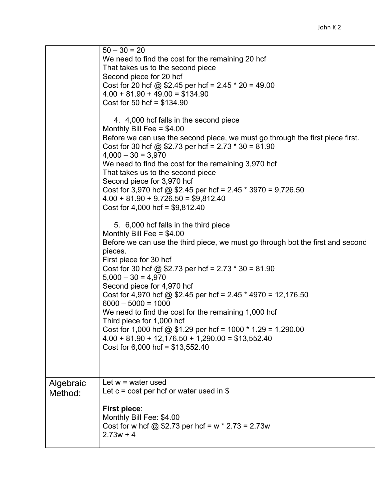|                      | $50 - 30 = 20$<br>We need to find the cost for the remaining 20 hcf<br>That takes us to the second piece<br>Second piece for 20 hcf<br>Cost for 20 hcf @ \$2.45 per hcf = $2.45 * 20 = 49.00$<br>$4.00 + 81.90 + 49.00 = $134.90$<br>Cost for 50 hcf = $$134.90$<br>4. 4,000 hcf falls in the second piece<br>Monthly Bill Fee = $$4.00$<br>Before we can use the second piece, we must go through the first piece first.<br>Cost for 30 hcf @ \$2.73 per hcf = $2.73 * 30 = 81.90$<br>$4,000 - 30 = 3,970$<br>We need to find the cost for the remaining 3,970 hcf<br>That takes us to the second piece<br>Second piece for 3,970 hcf<br>Cost for 3,970 hcf @ \$2.45 per hcf = $2.45 * 3970 = 9,726.50$<br>$4.00 + 81.90 + 9,726.50 = $9,812.40$<br>Cost for $4,000$ hcf = \$9,812.40<br>5. 6,000 hcf falls in the third piece<br>Monthly Bill Fee = $$4.00$<br>Before we can use the third piece, we must go through bot the first and second<br>pieces.<br>First piece for 30 hcf<br>Cost for 30 hcf @ \$2.73 per hcf = $2.73 * 30 = 81.90$<br>$5,000 - 30 = 4,970$<br>Second piece for 4,970 hcf<br>Cost for 4,970 hcf @ \$2.45 per hcf = 2.45 $*$ 4970 = 12,176.50<br>$6000 - 5000 = 1000$<br>We need to find the cost for the remaining 1,000 hcf |
|----------------------|---------------------------------------------------------------------------------------------------------------------------------------------------------------------------------------------------------------------------------------------------------------------------------------------------------------------------------------------------------------------------------------------------------------------------------------------------------------------------------------------------------------------------------------------------------------------------------------------------------------------------------------------------------------------------------------------------------------------------------------------------------------------------------------------------------------------------------------------------------------------------------------------------------------------------------------------------------------------------------------------------------------------------------------------------------------------------------------------------------------------------------------------------------------------------------------------------------------------------------------------------------|
|                      | Third piece for 1,000 hcf<br>Cost for 1,000 hcf @ \$1.29 per hcf = 1000 $*$ 1.29 = 1,290.00<br>$4.00 + 81.90 + 12,176.50 + 1,290.00 = $13,552.40$<br>Cost for $6,000$ hcf = \$13,552.40                                                                                                                                                                                                                                                                                                                                                                                                                                                                                                                                                                                                                                                                                                                                                                                                                                                                                                                                                                                                                                                                 |
| Algebraic<br>Method: | Let $w = w$ ater used<br>Let $c = \text{cost}$ per hcf or water used in \$<br><b>First piece:</b><br>Monthly Bill Fee: \$4.00<br>Cost for w hcf @ \$2.73 per hcf = w $*$ 2.73 = 2.73w<br>$2.73w + 4$                                                                                                                                                                                                                                                                                                                                                                                                                                                                                                                                                                                                                                                                                                                                                                                                                                                                                                                                                                                                                                                    |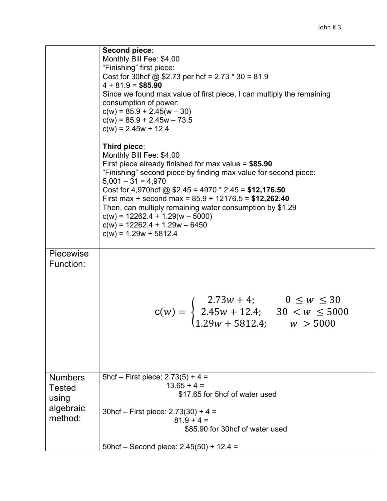|                                 | Second piece:<br>Monthly Bill Fee: \$4.00<br>"Finishing" first piece:<br>Cost for 30hcf @ \$2.73 per hcf = $2.73 * 30 = 81.9$<br>$4 + 81.9 = $85.90$<br>Since we found max value of first piece, I can multiply the remaining<br>consumption of power:<br>$c(w) = 85.9 + 2.45(w - 30)$<br>$c(w) = 85.9 + 2.45w - 73.5$<br>$c(w) = 2.45w + 12.4$                                                                                                                                   |
|---------------------------------|-----------------------------------------------------------------------------------------------------------------------------------------------------------------------------------------------------------------------------------------------------------------------------------------------------------------------------------------------------------------------------------------------------------------------------------------------------------------------------------|
|                                 | Third piece:<br>Monthly Bill Fee: \$4.00<br>First piece already finished for max value = $$85.90$<br>"Finishing" second piece by finding max value for second piece:<br>$5,001 - 31 = 4,970$<br>Cost for 4,970hcf @ \$2.45 = 4970 $*$ 2.45 = \$12,176.50<br>First max + second max = $85.9 + 12176.5 = $12,262.40$<br>Then, can multiply remaining water consumption by \$1.29<br>$c(w) = 12262.4 + 1.29(w - 5000)$<br>$c(w) = 12262.4 + 1.29w - 6450$<br>$c(w) = 1.29w + 5812.4$ |
| <b>Piecewise</b><br>Function:   |                                                                                                                                                                                                                                                                                                                                                                                                                                                                                   |
|                                 | $\mathsf{c}(w) = \begin{cases} 2.73w + 4; & 0 \leq w \leq 30 \\ 2.45w + 12.4; & 30 < w \leq 5000 \\ 1.29w + 5812.4; & w > 5000 \end{cases}$                                                                                                                                                                                                                                                                                                                                       |
| <b>Numbers</b><br><b>Tested</b> | 5hcf – First piece: $2.73(5) + 4 =$<br>$13.65 + 4 =$                                                                                                                                                                                                                                                                                                                                                                                                                              |
| using                           | \$17.65 for 5hcf of water used                                                                                                                                                                                                                                                                                                                                                                                                                                                    |
| algebraic<br>method:            | $30$ hcf – First piece: 2.73(30) + 4 =                                                                                                                                                                                                                                                                                                                                                                                                                                            |
|                                 | $81.9 + 4 =$<br>\$85.90 for 30hcf of water used                                                                                                                                                                                                                                                                                                                                                                                                                                   |
|                                 | 50hcf - Second piece: $2.45(50) + 12.4 =$                                                                                                                                                                                                                                                                                                                                                                                                                                         |